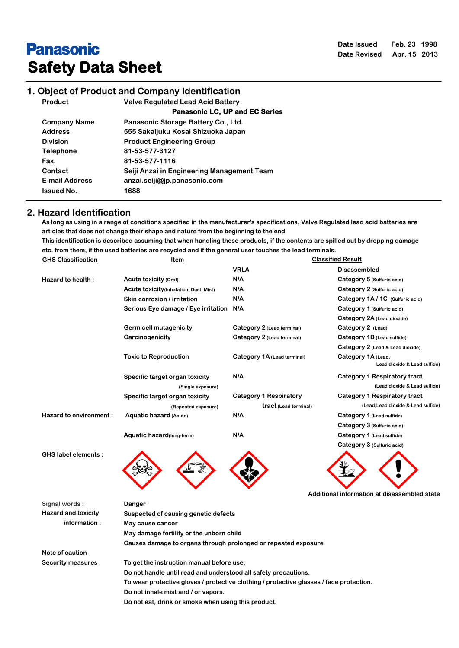# **Panasonic Safety Data Sheet**

## **1. Object of Product and Company Identification**

**Product Valve Regulated Lead Acid Battery**

 **Panasonic LC, UP and EC Series**

| <b>Company Name</b>   | Panasonic Storage Battery Co., Ltd.        |
|-----------------------|--------------------------------------------|
| <b>Address</b>        | 555 Sakaijuku Kosai Shizuoka Japan         |
| <b>Division</b>       | <b>Product Engineering Group</b>           |
| <b>Telephone</b>      | 81-53-577-3127                             |
| Fax.                  | 81-53-577-1116                             |
| Contact               | Seiji Anzai in Engineering Management Team |
| <b>E-mail Address</b> | anzai.seiji@jp.panasonic.com               |
| <b>Issued No.</b>     | 1688                                       |

#### **2. Hazard Identification**

**As long as using in a range of conditions specified in the manufacturer's specifications, Valve Regulated lead acid batteries are articles that does not change their shape and nature from the beginning to the end. This identification is described assuming that when handling these products, if the contents are spilled out by dropping damage etc. from them, if the used batteries are recycled and if the general user touches the lead terminals. GHS Classification Item Classified Result**

| <b>GHS CRESSINGATION</b>   | <u>item</u>                                                                             | Giassified Result             |                                                    |  |
|----------------------------|-----------------------------------------------------------------------------------------|-------------------------------|----------------------------------------------------|--|
|                            |                                                                                         | <b>VRLA</b>                   | <b>Disassembled</b>                                |  |
| Hazard to health:          | Acute toxicity (Oral)                                                                   | N/A                           | Category 5 (Sulfuric acid)                         |  |
|                            | <b>Acute toxicity</b> (Inhalation: Dust, Mist)                                          | N/A                           | Category 2 (Sulfuric acid)                         |  |
|                            | Skin corrosion / irritation                                                             | N/A                           | Category 1A / 1C (Sulfuric acid)                   |  |
|                            | Serious Eye damage / Eye irritation                                                     | N/A                           | Category 1 (Sulfuric acid)                         |  |
|                            |                                                                                         |                               | Category 2A (Lead dioxide)                         |  |
|                            | Germ cell mutagenicity                                                                  | Category 2 (Lead terminal)    | Category 2 (Lead)                                  |  |
|                            | Carcinogenicity                                                                         | Category 2 (Lead terminal)    | Category 1B (Lead sulfide)                         |  |
|                            |                                                                                         |                               | Category 2 (Lead & Lead dioxide)                   |  |
|                            | <b>Toxic to Reproduction</b>                                                            | Category 1A (Lead terminal)   | Category 1A (Lead,<br>Lead dioxide & Lead sulfide) |  |
|                            | Specific target organ toxicity                                                          | N/A                           | Category 1 Respiratory tract                       |  |
|                            | (Single exposure)                                                                       |                               | (Lead dioxide & Lead sulfide)                      |  |
|                            | Specific target organ toxicity                                                          | <b>Category 1 Respiratory</b> | Category 1 Respiratory tract                       |  |
|                            | (Repeated exposure)                                                                     | tract (Lead terminal)         | (Lead, Lead dioxide & Lead sulfide)                |  |
| Hazard to environment:     | Aquatic hazard (Acute)                                                                  | N/A                           | Category 1 (Lead sulfide)                          |  |
|                            |                                                                                         |                               | Category 3 (Sulfuric acid)                         |  |
|                            | Aquatic hazard(long-term)                                                               | N/A                           | Category 1 (Lead sulfide)                          |  |
|                            |                                                                                         |                               | Category 3 (Sulfuric acid)                         |  |
| <b>GHS label elements:</b> |                                                                                         |                               | Additional information at disassembled state       |  |
| Signal words:              | Danger                                                                                  |                               |                                                    |  |
| <b>Hazard and toxicity</b> | Suspected of causing genetic defects                                                    |                               |                                                    |  |
| information:               | May cause cancer                                                                        |                               |                                                    |  |
|                            | May damage fertility or the unborn child                                                |                               |                                                    |  |
|                            | Causes damage to organs through prolonged or repeated exposure                          |                               |                                                    |  |
| Note of caution            |                                                                                         |                               |                                                    |  |
| <b>Security measures:</b>  | To get the instruction manual before use.                                               |                               |                                                    |  |
|                            | Do not handle until read and understood all safety precautions.                         |                               |                                                    |  |
|                            | To wear protective gloves / protective clothing / protective glasses / face protection. |                               |                                                    |  |
|                            | Do not inhale mist and / or vapors.                                                     |                               |                                                    |  |
|                            | Do not eat, drink or smoke when using this product.                                     |                               |                                                    |  |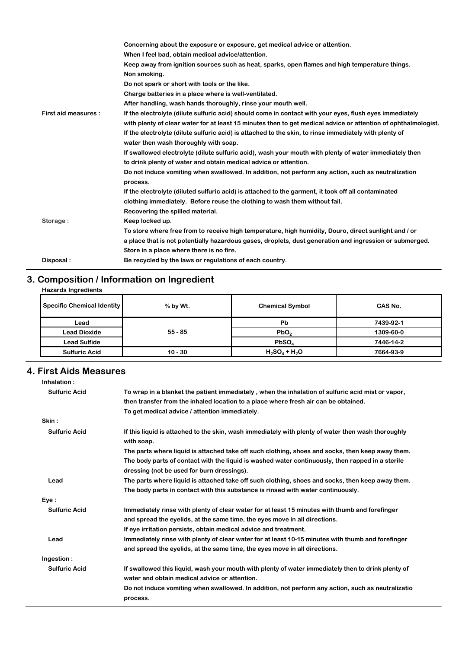|                      | Concerning about the exposure or exposure, get medical advice or attention.                                    |
|----------------------|----------------------------------------------------------------------------------------------------------------|
|                      | When I feel bad, obtain medical advice/attention.                                                              |
|                      | Keep away from ignition sources such as heat, sparks, open flames and high temperature things.                 |
|                      | Non smoking.                                                                                                   |
|                      | Do not spark or short with tools or the like.                                                                  |
|                      | Charge batteries in a place where is well-ventilated.                                                          |
|                      | After handling, wash hands thoroughly, rinse your mouth well.                                                  |
| First aid measures : | If the electrolyte (dilute sulfuric acid) should come in contact with your eyes, flush eyes immediately        |
|                      | with plenty of clear water for at least 15 minutes then to get medical advice or attention of ophthalmologist. |
|                      | If the electrolyte (dilute sulfuric acid) is attached to the skin, to rinse immediately with plenty of         |
|                      | water then wash thoroughly with soap.                                                                          |
|                      | If swallowed electrolyte (dilute sulfuric acid), wash your mouth with plenty of water immediately then         |
|                      | to drink plenty of water and obtain medical advice or attention.                                               |
|                      | Do not induce vomiting when swallowed. In addition, not perform any action, such as neutralization             |
|                      | process.                                                                                                       |
|                      | If the electrolyte (diluted sulfuric acid) is attached to the garment, it took off all contaminated            |
|                      | clothing immediately. Before reuse the clothing to wash them without fail.                                     |
|                      | Recovering the spilled material.                                                                               |
| Storage:             | Keep locked up.                                                                                                |
|                      | To store where free from to receive high temperature, high humidity, Douro, direct sunlight and / or           |
|                      | a place that is not potentially hazardous gases, droplets, dust generation and ingression or submerged.        |
|                      | Store in a place where there is no fire.                                                                       |
| Disposal:            | Be recycled by the laws or regulations of each country.                                                        |
|                      |                                                                                                                |

## **3. Composition / Information on Ingredient**

| <b>Hazards Ingredients</b> |
|----------------------------|
|                            |

| <b>Specific Chemical Identity</b> | $%$ by Wt. | <b>Chemical Symbol</b> | CAS No.   |
|-----------------------------------|------------|------------------------|-----------|
| Lead                              |            | <b>Pb</b>              | 7439-92-1 |
| <b>Lead Dioxide</b>               | $55 - 85$  | PbO <sub>2</sub>       | 1309-60-0 |
| Lead Sulfide                      |            | PbSO <sub>A</sub>      | 7446-14-2 |
| <b>Sulfuric Acid</b>              | $10 - 30$  | $H_2SO_4 + H_2O$       | 7664-93-9 |

## **4. First Aids Measures**

| Inhalation:          |                                                                                                                                                                                 |
|----------------------|---------------------------------------------------------------------------------------------------------------------------------------------------------------------------------|
| <b>Sulfuric Acid</b> | To wrap in a blanket the patient immediately, when the inhalation of sulfuric acid mist or vapor,                                                                               |
|                      | then transfer from the inhaled location to a place where fresh air can be obtained.                                                                                             |
|                      | To get medical advice / attention immediately.                                                                                                                                  |
| Skin:                |                                                                                                                                                                                 |
| <b>Sulfuric Acid</b> | If this liquid is attached to the skin, wash immediately with plenty of water then wash thoroughly<br>with soap.                                                                |
|                      | The parts where liquid is attached take off such clothing, shoes and socks, then keep away them.                                                                                |
|                      | The body parts of contact with the liquid is washed water continuously, then rapped in a sterile<br>dressing (not be used for burn dressings).                                  |
| Lead                 | The parts where liquid is attached take off such clothing, shoes and socks, then keep away them.                                                                                |
|                      | The body parts in contact with this substance is rinsed with water continuously.                                                                                                |
| Eye :                |                                                                                                                                                                                 |
| <b>Sulfuric Acid</b> | Immediately rinse with plenty of clear water for at least 15 minutes with thumb and forefinger                                                                                  |
|                      | and spread the eyelids, at the same time, the eyes move in all directions.                                                                                                      |
|                      | If eye irritation persists, obtain medical advice and treatment.                                                                                                                |
| Lead                 | Immediately rinse with plenty of clear water for at least 10-15 minutes with thumb and forefinger<br>and spread the eyelids, at the same time, the eyes move in all directions. |
| Ingestion:           |                                                                                                                                                                                 |
| <b>Sulfuric Acid</b> | If swallowed this liquid, wash your mouth with plenty of water immediately then to drink plenty of<br>water and obtain medical advice or attention.                             |
|                      | Do not induce vomiting when swallowed. In addition, not perform any action, such as neutralizatio<br>process.                                                                   |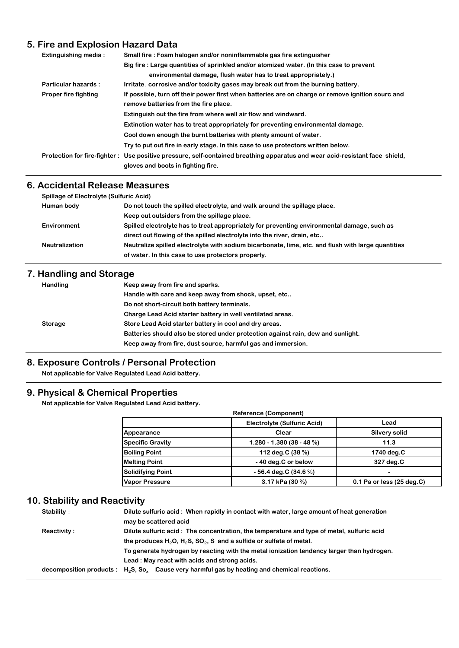## **5. Fire and Explosion Hazard Data**

| <b>Extinguishing media:</b> | Small fire : Foam halogen and/or noninflammable gas fire extinguisher                                                       |  |  |
|-----------------------------|-----------------------------------------------------------------------------------------------------------------------------|--|--|
|                             | Big fire : Large quantities of sprinkled and/or atomized water. (In this case to prevent                                    |  |  |
|                             | environmental damage, flush water has to treat appropriately.)                                                              |  |  |
| Particular hazards:         | Irritate, corrosive and/or toxicity gases may break out from the burning battery.                                           |  |  |
| <b>Proper fire fighting</b> | If possible, turn off their power first when batteries are on charge or remove ignition sourc and                           |  |  |
|                             | remove batteries from the fire place.                                                                                       |  |  |
|                             | Extinguish out the fire from where well air flow and windward.                                                              |  |  |
|                             | Extinction water has to treat appropriately for preventing environmental damage.                                            |  |  |
|                             | Cool down enough the burnt batteries with plenty amount of water.                                                           |  |  |
|                             | Try to put out fire in early stage. In this case to use protectors written below.                                           |  |  |
|                             | Protection for fire-fighter: Use positive pressure, self-contained breathing apparatus and wear acid-resistant face shield, |  |  |
|                             | gloves and boots in fighting fire.                                                                                          |  |  |

### **6. Accidental Release Measures**

| <b>Spillage of Electrolyte (Sulfuric Acid)</b> |                                                                                                    |  |
|------------------------------------------------|----------------------------------------------------------------------------------------------------|--|
| Human body                                     | Do not touch the spilled electrolyte, and walk around the spillage place.                          |  |
|                                                | Keep out outsiders from the spillage place.                                                        |  |
| Environment                                    | Spilled electrolyte has to treat appropriately for preventing environmental damage, such as        |  |
|                                                | direct out flowing of the spilled electrolyte into the river, drain, etc                           |  |
| <b>Neutralization</b>                          | Neutralize spilled electrolyte with sodium bicarbonate, lime, etc. and flush with large quantities |  |
|                                                | of water. In this case to use protectors properly.                                                 |  |
|                                                |                                                                                                    |  |

## **7. Handling and Storage**

| Handling       | Keep away from fire and sparks.                                                  |
|----------------|----------------------------------------------------------------------------------|
|                | Handle with care and keep away from shock, upset, etc                            |
|                | Do not short-circuit both battery terminals.                                     |
|                | Charge Lead Acid starter battery in well ventilated areas.                       |
| <b>Storage</b> | Store Lead Acid starter battery in cool and dry areas.                           |
|                | Batteries should also be stored under protection against rain, dew and sunlight. |
|                | Keep away from fire, dust source, harmful gas and immersion.                     |

#### **8. Exposure Controls / Personal Protection**

**Not applicable for Valve Regulated Lead Acid battery.**

## **9. Physical & Chemical Properties**

**Not applicable for Valve Regulated Lead Acid battery.**

|                          | Electrolyte (Sulfuric Acid) | Lead                        |
|--------------------------|-----------------------------|-----------------------------|
| Appearance               | Clear                       | <b>Silvery solid</b>        |
| <b>Specific Gravity</b>  | $1.280 - 1.380(38 - 48%)$   | 11.3                        |
| <b>Boiling Point</b>     | 112 deg.C (38 %)            | 1740 deg.C                  |
| <b>Melting Point</b>     | -40 deg.C or below          | 327 deg.C                   |
| <b>Solidifying Point</b> | $-56.4$ deg.C (34.6 %)      | $\overline{\phantom{a}}$    |
| <b>Vapor Pressure</b>    | 3.17 kPa (30 %)             | $0.1$ Pa or less (25 deg.C) |

## **10. Stability and Reactivity**

| Stability:  | Dilute sulfuric acid: When rapidly in contact with water, large amount of heat generation           |  |  |
|-------------|-----------------------------------------------------------------------------------------------------|--|--|
|             | may be scattered acid                                                                               |  |  |
| Reactivity: | Dilute sulfuric acid: The concentration, the temperature and type of metal, sulfuric acid           |  |  |
|             | the produces $H_2O$ , $H_2S$ , $SO_2$ , S and a sulfide or sulfate of metal.                        |  |  |
|             | To generate hydrogen by reacting with the metal ionization tendency larger than hydrogen.           |  |  |
|             | Lead: May react with acids and strong acids.                                                        |  |  |
|             | decomposition products : $H_2S$ , $S_0$ , Cause very harmful gas by heating and chemical reactions. |  |  |